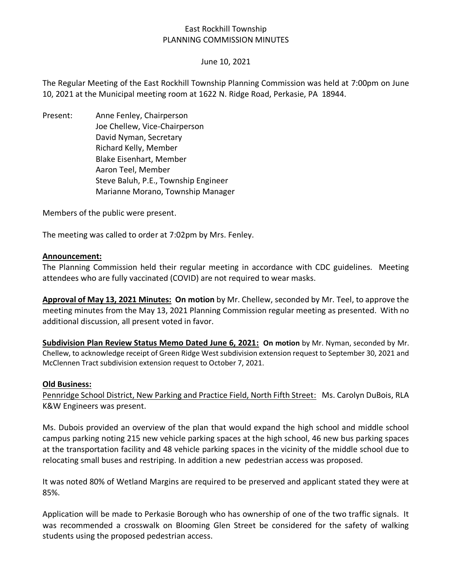# East Rockhill Township PLANNING COMMISSION MINUTES

## June 10, 2021

The Regular Meeting of the East Rockhill Township Planning Commission was held at 7:00pm on June 10, 2021 at the Municipal meeting room at 1622 N. Ridge Road, Perkasie, PA 18944.

Present: Anne Fenley, Chairperson Joe Chellew, Vice-Chairperson David Nyman, Secretary Richard Kelly, Member Blake Eisenhart, Member Aaron Teel, Member Steve Baluh, P.E., Township Engineer Marianne Morano, Township Manager

Members of the public were present.

The meeting was called to order at 7:02pm by Mrs. Fenley.

#### **Announcement:**

The Planning Commission held their regular meeting in accordance with CDC guidelines. Meeting attendees who are fully vaccinated (COVID) are not required to wear masks.

**Approval of May 13, 2021 Minutes: On motion** by Mr. Chellew, seconded by Mr. Teel, to approve the meeting minutes from the May 13, 2021 Planning Commission regular meeting as presented. With no additional discussion, all present voted in favor.

**Subdivision Plan Review Status Memo Dated June 6, 2021: On motion** by Mr. Nyman, seconded by Mr. Chellew, to acknowledge receipt of Green Ridge West subdivision extension request to September 30, 2021 and McClennen Tract subdivision extension request to October 7, 2021.

#### **Old Business:**

Pennridge School District, New Parking and Practice Field, North Fifth Street: Ms. Carolyn DuBois, RLA K&W Engineers was present.

Ms. Dubois provided an overview of the plan that would expand the high school and middle school campus parking noting 215 new vehicle parking spaces at the high school, 46 new bus parking spaces at the transportation facility and 48 vehicle parking spaces in the vicinity of the middle school due to relocating small buses and restriping. In addition a new pedestrian access was proposed.

It was noted 80% of Wetland Margins are required to be preserved and applicant stated they were at 85%.

Application will be made to Perkasie Borough who has ownership of one of the two traffic signals. It was recommended a crosswalk on Blooming Glen Street be considered for the safety of walking students using the proposed pedestrian access.